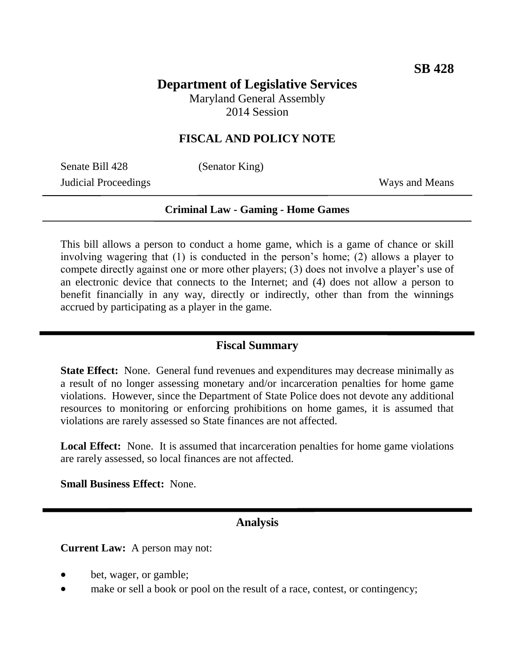# **Department of Legislative Services**

Maryland General Assembly 2014 Session

### **FISCAL AND POLICY NOTE**

Senate Bill 428 (Senator King) **Judicial Proceedings** Ways and Means

#### **Criminal Law - Gaming - Home Games**

This bill allows a person to conduct a home game, which is a game of chance or skill involving wagering that (1) is conducted in the person's home; (2) allows a player to compete directly against one or more other players; (3) does not involve a player's use of an electronic device that connects to the Internet; and (4) does not allow a person to benefit financially in any way, directly or indirectly, other than from the winnings accrued by participating as a player in the game.

#### **Fiscal Summary**

**State Effect:** None. General fund revenues and expenditures may decrease minimally as a result of no longer assessing monetary and/or incarceration penalties for home game violations. However, since the Department of State Police does not devote any additional resources to monitoring or enforcing prohibitions on home games, it is assumed that violations are rarely assessed so State finances are not affected.

**Local Effect:** None. It is assumed that incarceration penalties for home game violations are rarely assessed, so local finances are not affected.

**Small Business Effect:** None.

#### **Analysis**

**Current Law:** A person may not:

- bet, wager, or gamble;
- make or sell a book or pool on the result of a race, contest, or contingency;